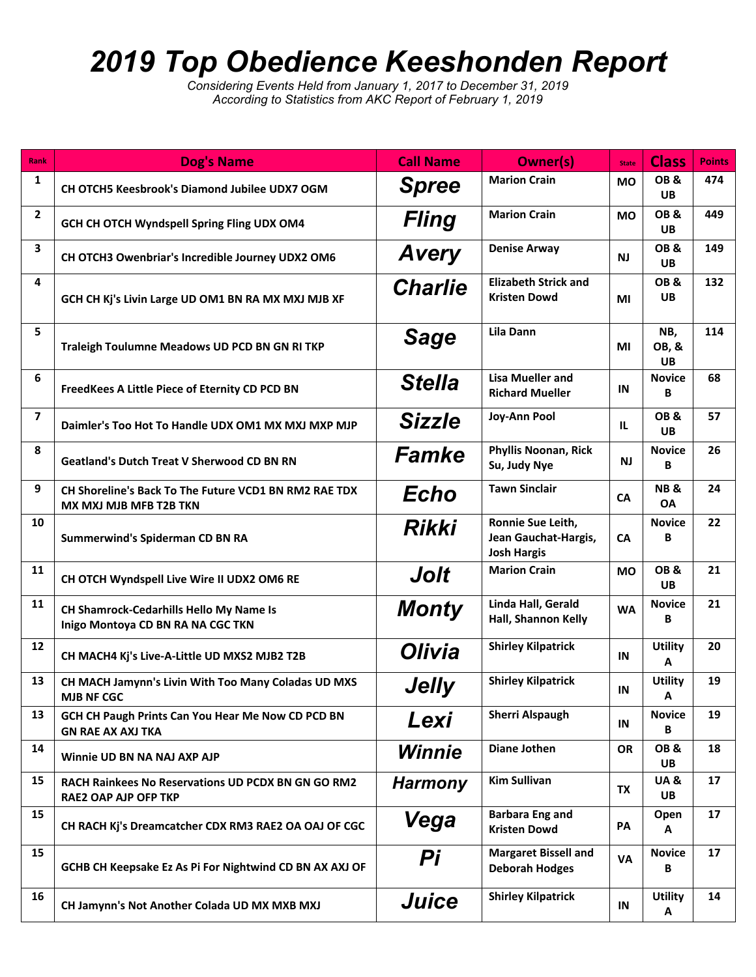## *2019 Top Obedience Keeshonden Report*

*Considering Events Held from January 1, 2017 to December 31, 2019 According to Statistics from AKC Report of February 1, 2019*

| Rank           | <b>Dog's Name</b>                                                                      | <b>Call Name</b> | <b>Owner(s)</b>                                                 | <b>State</b> | <b>Class</b>                | <b>Points</b> |
|----------------|----------------------------------------------------------------------------------------|------------------|-----------------------------------------------------------------|--------------|-----------------------------|---------------|
| 1              | CH OTCH5 Keesbrook's Diamond Jubilee UDX7 OGM                                          | <b>Spree</b>     | <b>Marion Crain</b>                                             | <b>MO</b>    | OB&<br><b>UB</b>            | 474           |
| $\overline{2}$ | GCH CH OTCH Wyndspell Spring Fling UDX OM4                                             | <b>Fling</b>     | <b>Marion Crain</b>                                             | <b>MO</b>    | OB&<br><b>UB</b>            | 449           |
| 3              | CH OTCH3 Owenbriar's Incredible Journey UDX2 OM6                                       | <b>Avery</b>     | <b>Denise Arway</b>                                             | <b>NJ</b>    | OB&<br><b>UB</b>            | 149           |
| 4              | GCH CH Kj's Livin Large UD OM1 BN RA MX MXJ MJB XF                                     | <b>Charlie</b>   | <b>Elizabeth Strick and</b><br><b>Kristen Dowd</b>              | ΜI           | OB&<br><b>UB</b>            | 132           |
| 5              | Traleigh Toulumne Meadows UD PCD BN GN RI TKP                                          | <b>Sage</b>      | Lila Dann                                                       | ΜI           | NB,<br>OB, &<br><b>UB</b>   | 114           |
| 6              | FreedKees A Little Piece of Eternity CD PCD BN                                         | <b>Stella</b>    | <b>Lisa Mueller and</b><br><b>Richard Mueller</b>               | IN           | <b>Novice</b><br>В          | 68            |
| $\overline{7}$ | Daimler's Too Hot To Handle UDX OM1 MX MXJ MXP MJP                                     | Sizzle           | Joy-Ann Pool                                                    | IL.          | OB&<br><b>UB</b>            | 57            |
| 8              | <b>Geatland's Dutch Treat V Sherwood CD BN RN</b>                                      | <b>Famke</b>     | <b>Phyllis Noonan, Rick</b><br>Su, Judy Nye                     | <b>NJ</b>    | <b>Novice</b><br>B          | 26            |
| 9              | CH Shoreline's Back To The Future VCD1 BN RM2 RAE TDX<br><b>MX MXJ MJB MFB T2B TKN</b> | Echo             | <b>Tawn Sinclair</b>                                            | <b>CA</b>    | <b>NB&amp;</b><br><b>OA</b> | 24            |
| 10             | Summerwind's Spiderman CD BN RA                                                        | Rikki            | Ronnie Sue Leith,<br>Jean Gauchat-Hargis,<br><b>Josh Hargis</b> | CA           | <b>Novice</b><br>В          | 22            |
| 11             | CH OTCH Wyndspell Live Wire II UDX2 OM6 RE                                             | Jolt             | <b>Marion Crain</b>                                             | <b>MO</b>    | OB&<br>UB.                  | 21            |
| 11             | CH Shamrock-Cedarhills Hello My Name Is<br>Inigo Montoya CD BN RA NA CGC TKN           | <b>Monty</b>     | Linda Hall, Gerald<br>Hall, Shannon Kelly                       | <b>WA</b>    | <b>Novice</b><br>В          | 21            |
| 12             | CH MACH4 Kj's Live-A-Little UD MXS2 MJB2 T2B                                           | Olivia           | <b>Shirley Kilpatrick</b>                                       | IN           | <b>Utility</b><br>A         | 20            |
| 13             | CH MACH Jamynn's Livin With Too Many Coladas UD MXS<br><b>MJB NF CGC</b>               | Jelly            | <b>Shirley Kilpatrick</b>                                       | IN           | <b>Utility</b><br>Α         | 19            |
| 13             | GCH CH Paugh Prints Can You Hear Me Now CD PCD BN<br><b>GN RAE AX AXJ TKA</b>          | Lexi             | <b>Sherri Alspaugh</b>                                          | IN           | <b>Novice</b><br>В          | 19            |
| 14             | Winnie UD BN NA NAJ AXP AJP                                                            | Winnie           | Diane Jothen                                                    | <b>OR</b>    | OB&<br>UB                   | 18            |
| 15             | RACH Rainkees No Reservations UD PCDX BN GN GO RM2<br><b>RAE2 OAP AJP OFP TKP</b>      | <b>Harmony</b>   | <b>Kim Sullivan</b>                                             | TX           | UA&<br>UB                   | 17            |
| 15             | CH RACH Kj's Dreamcatcher CDX RM3 RAE2 OA OAJ OF CGC                                   | Vega             | <b>Barbara Eng and</b><br><b>Kristen Dowd</b>                   | PA           | Open<br>Α                   | 17            |
| 15             | GCHB CH Keepsake Ez As Pi For Nightwind CD BN AX AXJ OF                                | Pi               | <b>Margaret Bissell and</b><br><b>Deborah Hodges</b>            | VA           | <b>Novice</b><br>В          | 17            |
| 16             | CH Jamynn's Not Another Colada UD MX MXB MXJ                                           | <b>Juice</b>     | <b>Shirley Kilpatrick</b>                                       | IN           | <b>Utility</b><br>A         | 14            |